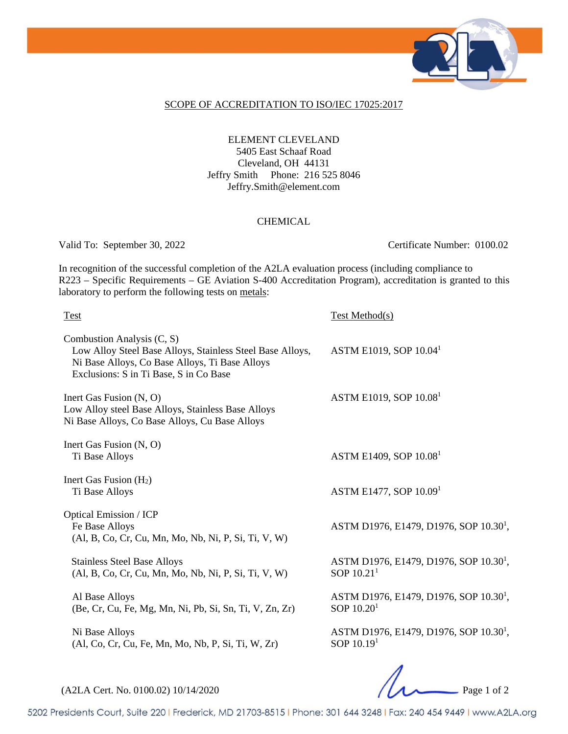

#### SCOPE OF ACCREDITATION TO ISO/IEC 17025:2017

### ELEMENT CLEVELAND 5405 East Schaaf Road Cleveland, OH 44131 Jeffry Smith Phone: 216 525 8046 Jeffry.Smith@element.com

#### CHEMICAL

Valid To: September 30, 2022 Certificate Number: 0100.02

In recognition of the successful completion of the A2LA evaluation process (including compliance to R223 – Specific Requirements – GE Aviation S-400 Accreditation Program), accreditation is granted to this laboratory to perform the following tests on metals:

| <b>Test</b>                                                                                                                                                                         | Test Method(s)                                                     |
|-------------------------------------------------------------------------------------------------------------------------------------------------------------------------------------|--------------------------------------------------------------------|
| Combustion Analysis (C, S)<br>Low Alloy Steel Base Alloys, Stainless Steel Base Alloys,<br>Ni Base Alloys, Co Base Alloys, Ti Base Alloys<br>Exclusions: S in Ti Base, S in Co Base | ASTM E1019, SOP 10.04 <sup>1</sup>                                 |
| Inert Gas Fusion $(N, O)$<br>Low Alloy steel Base Alloys, Stainless Base Alloys<br>Ni Base Alloys, Co Base Alloys, Cu Base Alloys                                                   | ASTM E1019, SOP 10.08 <sup>1</sup>                                 |
| Inert Gas Fusion (N, O)<br>Ti Base Alloys                                                                                                                                           | ASTM E1409, SOP 10.08 <sup>1</sup>                                 |
| Inert Gas Fusion $(H2)$<br>Ti Base Alloys                                                                                                                                           | ASTM E1477, SOP $10.091$                                           |
| <b>Optical Emission / ICP</b><br>Fe Base Alloys<br>(Al, B, Co, Cr, Cu, Mn, Mo, Nb, Ni, P, Si, Ti, V, W)                                                                             | ASTM D1976, E1479, D1976, SOP 10.30 <sup>1</sup> ,                 |
| <b>Stainless Steel Base Alloys</b><br>(Al, B, Co, Cr, Cu, Mn, Mo, Nb, Ni, P, Si, Ti, V, W)                                                                                          | ASTM D1976, E1479, D1976, SOP 10.30 <sup>1</sup> ,<br>SOP $10.211$ |
| Al Base Alloys<br>(Be, Cr, Cu, Fe, Mg, Mn, Ni, Pb, Si, Sn, Ti, V, Zn, Zr)                                                                                                           | ASTM D1976, E1479, D1976, SOP 10.30 <sup>1</sup> ,<br>SOP $10.201$ |
| Ni Base Alloys<br>(Al, Co, Cr, Cu, Fe, Mn, Mo, Nb, P, Si, Ti, W, Zr)                                                                                                                | ASTM D1976, E1479, D1976, SOP 10.30 <sup>1</sup> ,<br>SOP $10.191$ |
|                                                                                                                                                                                     |                                                                    |

(A2LA Cert. No. 0100.02) 10/14/2020 Page 1 of 2

5202 Presidents Court, Suite 220 | Frederick, MD 21703-8515 | Phone: 301 644 3248 | Fax: 240 454 9449 | www.A2LA.org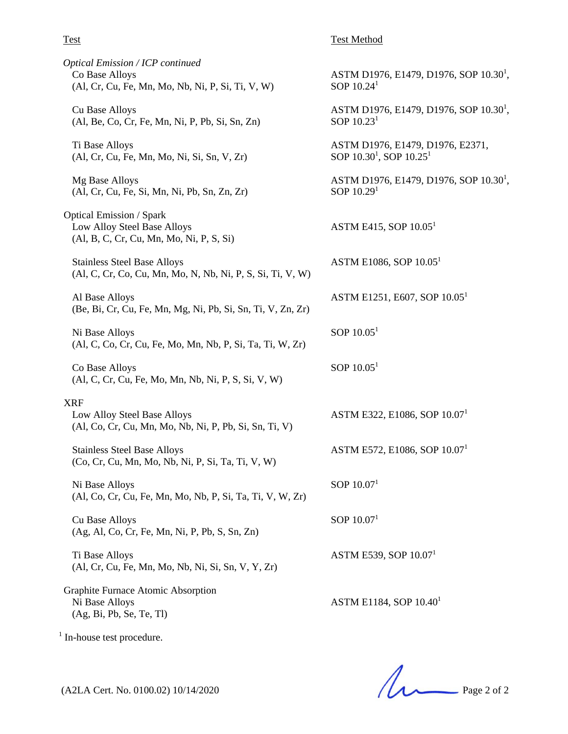#### Test Test Method

SOP  $10.24<sup>1</sup>$ 

SOP  $10.23<sup>1</sup>$ 

SOP  $10.29<sup>1</sup>$ 

ASTM D1976, E1479, D1976, SOP 10.30<sup>1</sup>,

ASTM D1976, E1479, D1976, SOP 10.30<sup>1</sup>,

ASTM D1976, E1479, D1976, SOP 10.30<sup>1</sup>,

ASTM D1976, E1479, D1976, E2371,

SOP  $10.30^1$ , SOP  $10.25^1$ 

ASTM E415, SOP  $10.05<sup>1</sup>$ 

ASTM E1086, SOP 10.051

ASTM E1251, E607, SOP 10.05<sup>1</sup>

*Optical Emission / ICP continued*  Co Base Alloys (Al, Cr, Cu, Fe, Mn, Mo, Nb, Ni, P, Si, Ti, V, W)

Cu Base Alloys (Al, Be, Co, Cr, Fe, Mn, Ni, P, Pb, Si, Sn, Zn)

Ti Base Alloys (Al, Cr, Cu, Fe, Mn, Mo, Ni, Si, Sn, V, Zr)

Mg Base Alloys (Al, Cr, Cu, Fe, Si, Mn, Ni, Pb, Sn, Zn, Zr)

Optical Emission / Spark Low Alloy Steel Base Alloys (Al, B, C, Cr, Cu, Mn, Mo, Ni, P, S, Si)

Stainless Steel Base Alloys (Al, C, Cr, Co, Cu, Mn, Mo, N, Nb, Ni, P, S, Si, Ti, V, W)

Al Base Alloys (Be, Bi, Cr, Cu, Fe, Mn, Mg, Ni, Pb, Si, Sn, Ti, V, Zn, Zr)

Ni Base Alloys (Al, C, Co, Cr, Cu, Fe, Mo, Mn, Nb, P, Si, Ta, Ti, W, Zr)

Co Base Alloys (Al, C, Cr, Cu, Fe, Mo, Mn, Nb, Ni, P, S, Si, V, W)

#### XRF

Low Alloy Steel Base Alloys (Al, Co, Cr, Cu, Mn, Mo, Nb, Ni, P, Pb, Si, Sn, Ti, V)

Stainless Steel Base Alloys (Co, Cr, Cu, Mn, Mo, Nb, Ni, P, Si, Ta, Ti, V, W)

Ni Base Alloys (Al, Co, Cr, Cu, Fe, Mn, Mo, Nb, P, Si, Ta, Ti, V, W, Zr)

Cu Base Alloys (Ag, Al, Co, Cr, Fe, Mn, Ni, P, Pb, S, Sn, Zn)

Ti Base Alloys (Al, Cr, Cu, Fe, Mn, Mo, Nb, Ni, Si, Sn, V, Y, Zr)

Graphite Furnace Atomic Absorption Ni Base Alloys (Ag, Bi, Pb, Se, Te, Tl)

<sup>1</sup> In-house test procedure.

(A2LA Cert. No. 0100.02) 10/14/2020 Page 2 of 2

SOP  $10.05<sup>1</sup>$ 

SOP 10.051

ASTM E322, E1086, SOP 10.07<sup>1</sup>

ASTM E572, E1086, SOP 10.07<sup>1</sup>

SOP  $10.07<sup>1</sup>$ 

SOP  $10.07<sup>1</sup>$ 

ASTM E539, SOP 10.07<sup>1</sup>

ASTM E1184, SOP 10.401